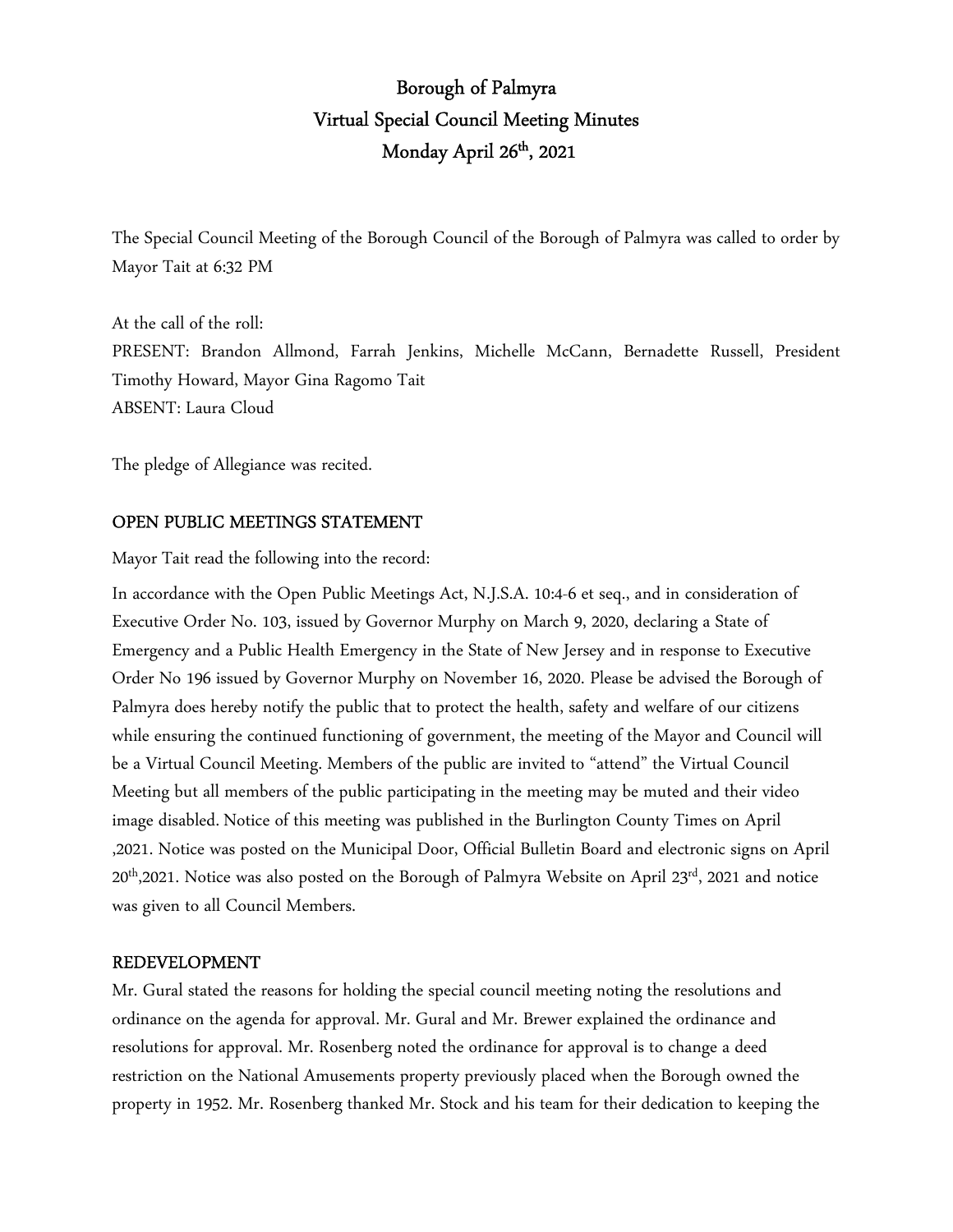# Borough of Palmyra Virtual Special Council Meeting Minutes Monday April 26<sup>th</sup>, 2021

The Special Council Meeting of the Borough Council of the Borough of Palmyra was called to order by Mayor Tait at 6:32 PM

At the call of the roll: PRESENT: Brandon Allmond, Farrah Jenkins, Michelle McCann, Bernadette Russell, President Timothy Howard, Mayor Gina Ragomo Tait ABSENT: Laura Cloud

The pledge of Allegiance was recited.

# OPEN PUBLIC MEETINGS STATEMENT

Mayor Tait read the following into the record:

In accordance with the Open Public Meetings Act, N.J.S.A. 10:4-6 et seq., and in consideration of Executive Order No. 103, issued by Governor Murphy on March 9, 2020, declaring a State of Emergency and a Public Health Emergency in the State of New Jersey and in response to Executive Order No 196 issued by Governor Murphy on November 16, 2020. Please be advised the Borough of Palmyra does hereby notify the public that to protect the health, safety and welfare of our citizens while ensuring the continued functioning of government, the meeting of the Mayor and Council will be a Virtual Council Meeting. Members of the public are invited to "attend" the Virtual Council Meeting but all members of the public participating in the meeting may be muted and their video image disabled. Notice of this meeting was published in the Burlington County Times on April ,2021. Notice was posted on the Municipal Door, Official Bulletin Board and electronic signs on April  $20<sup>th</sup>$ ,2021. Notice was also posted on the Borough of Palmyra Website on April  $23<sup>rd</sup>$ , 2021 and notice was given to all Council Members.

# REDEVELOPMENT

Mr. Gural stated the reasons for holding the special council meeting noting the resolutions and ordinance on the agenda for approval. Mr. Gural and Mr. Brewer explained the ordinance and resolutions for approval. Mr. Rosenberg noted the ordinance for approval is to change a deed restriction on the National Amusements property previously placed when the Borough owned the property in 1952. Mr. Rosenberg thanked Mr. Stock and his team for their dedication to keeping the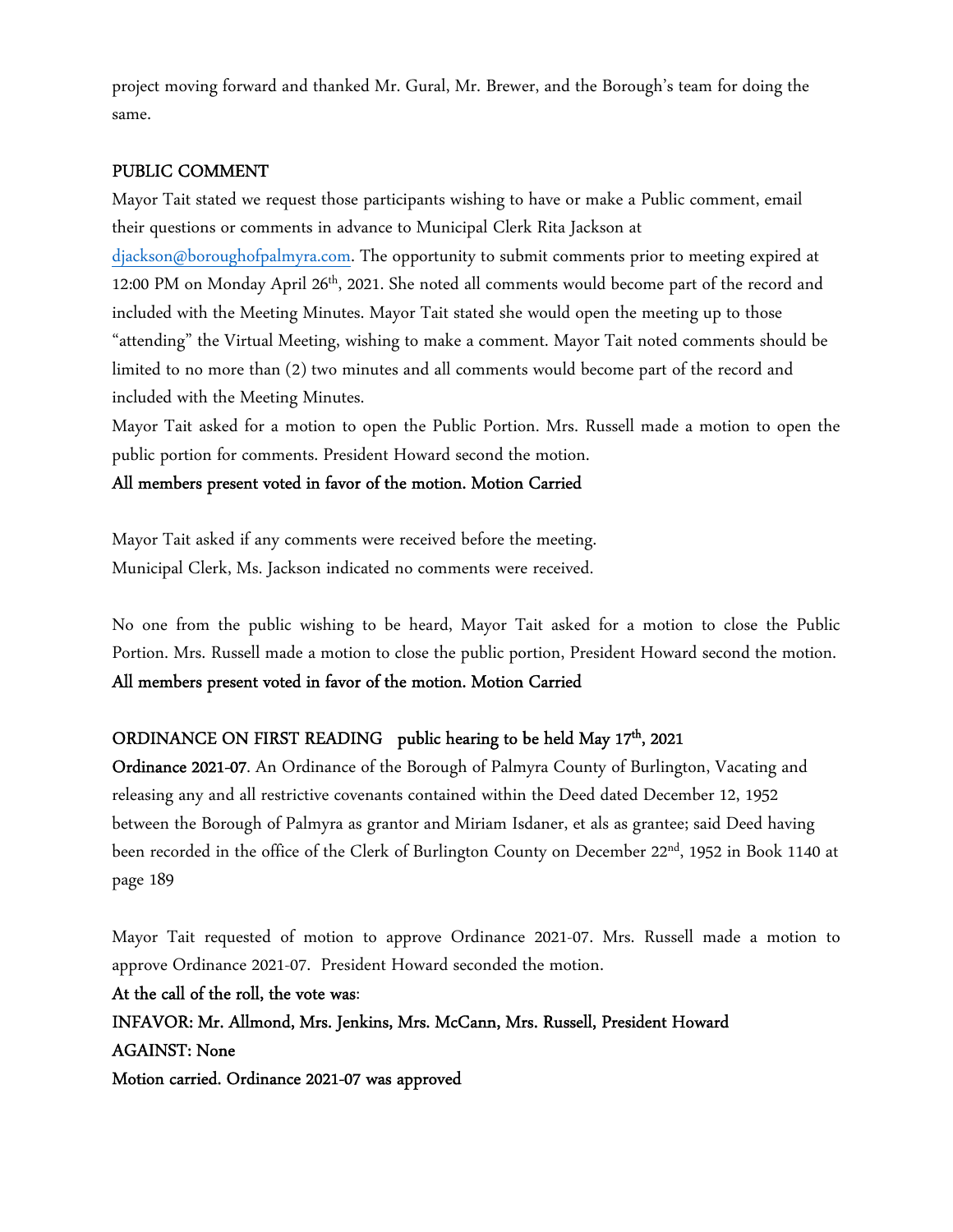project moving forward and thanked Mr. Gural, Mr. Brewer, and the Borough's team for doing the same.

# PUBLIC COMMENT

Mayor Tait stated we request those participants wishing to have or make a Public comment, email their questions or comments in advance to Municipal Clerk Rita Jackson at djackson@boroughofpalmyra.com. The opportunity to submit comments prior to meeting expired at 12:00 PM on Monday April 26<sup>th</sup>, 2021. She noted all comments would become part of the record and included with the Meeting Minutes. Mayor Tait stated she would open the meeting up to those "attending" the Virtual Meeting, wishing to make a comment. Mayor Tait noted comments should be limited to no more than (2) two minutes and all comments would become part of the record and included with the Meeting Minutes.

Mayor Tait asked for a motion to open the Public Portion. Mrs. Russell made a motion to open the public portion for comments. President Howard second the motion.

# All members present voted in favor of the motion. Motion Carried

Mayor Tait asked if any comments were received before the meeting. Municipal Clerk, Ms. Jackson indicated no comments were received.

No one from the public wishing to be heard, Mayor Tait asked for a motion to close the Public Portion. Mrs. Russell made a motion to close the public portion, President Howard second the motion. All members present voted in favor of the motion. Motion Carried

# ORDINANCE ON FIRST READING public hearing to be held May 17<sup>th</sup>, 2021

Ordinance 2021-07. An Ordinance of the Borough of Palmyra County of Burlington, Vacating and releasing any and all restrictive covenants contained within the Deed dated December 12, 1952 between the Borough of Palmyra as grantor and Miriam Isdaner, et als as grantee; said Deed having been recorded in the office of the Clerk of Burlington County on December 22<sup>nd</sup>, 1952 in Book 1140 at page 189

Mayor Tait requested of motion to approve Ordinance 2021-07. Mrs. Russell made a motion to approve Ordinance 2021-07. President Howard seconded the motion.

At the call of the roll, the vote was: INFAVOR: Mr. Allmond, Mrs. Jenkins, Mrs. McCann, Mrs. Russell, President Howard AGAINST: None Motion carried. Ordinance 2021-07 was approved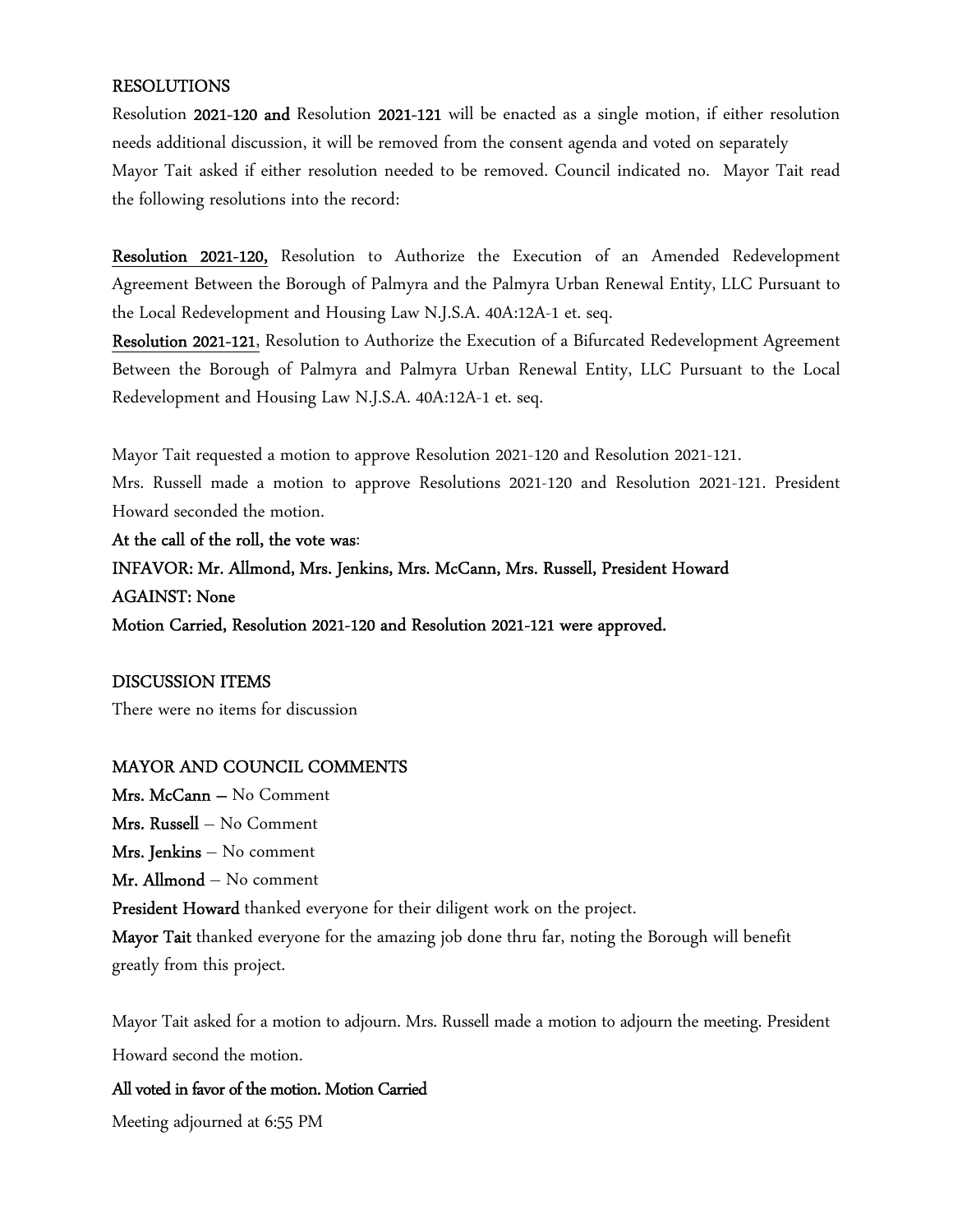### RESOLUTIONS

Resolution 2021-120 and Resolution 2021-121 will be enacted as a single motion, if either resolution needs additional discussion, it will be removed from the consent agenda and voted on separately Mayor Tait asked if either resolution needed to be removed. Council indicated no. Mayor Tait read the following resolutions into the record:

Resolution 2021-120, Resolution to Authorize the Execution of an Amended Redevelopment Agreement Between the Borough of Palmyra and the Palmyra Urban Renewal Entity, LLC Pursuant to the Local Redevelopment and Housing Law N.J.S.A. 40A:12A-1 et. seq.

Resolution 2021-121, Resolution to Authorize the Execution of a Bifurcated Redevelopment Agreement Between the Borough of Palmyra and Palmyra Urban Renewal Entity, LLC Pursuant to the Local Redevelopment and Housing Law N.J.S.A. 40A:12A-1 et. seq.

Mayor Tait requested a motion to approve Resolution 2021-120 and Resolution 2021-121.

Mrs. Russell made a motion to approve Resolutions 2021-120 and Resolution 2021-121. President Howard seconded the motion.

At the call of the roll, the vote was: INFAVOR: Mr. Allmond, Mrs. Jenkins, Mrs. McCann, Mrs. Russell, President Howard AGAINST: None Motion Carried, Resolution 2021-120 and Resolution 2021-121 were approved.

#### DISCUSSION ITEMS

There were no items for discussion

#### MAYOR AND COUNCIL COMMENTS

Mrs. McCann – No Comment Mrs. Russell – No Comment Mrs. Jenkins – No comment Mr. Allmond – No comment President Howard thanked everyone for their diligent work on the project. Mayor Tait thanked everyone for the amazing job done thru far, noting the Borough will benefit greatly from this project.

Mayor Tait asked for a motion to adjourn. Mrs. Russell made a motion to adjourn the meeting. President Howard second the motion.

## All voted in favor of the motion. Motion Carried

Meeting adjourned at 6:55 PM